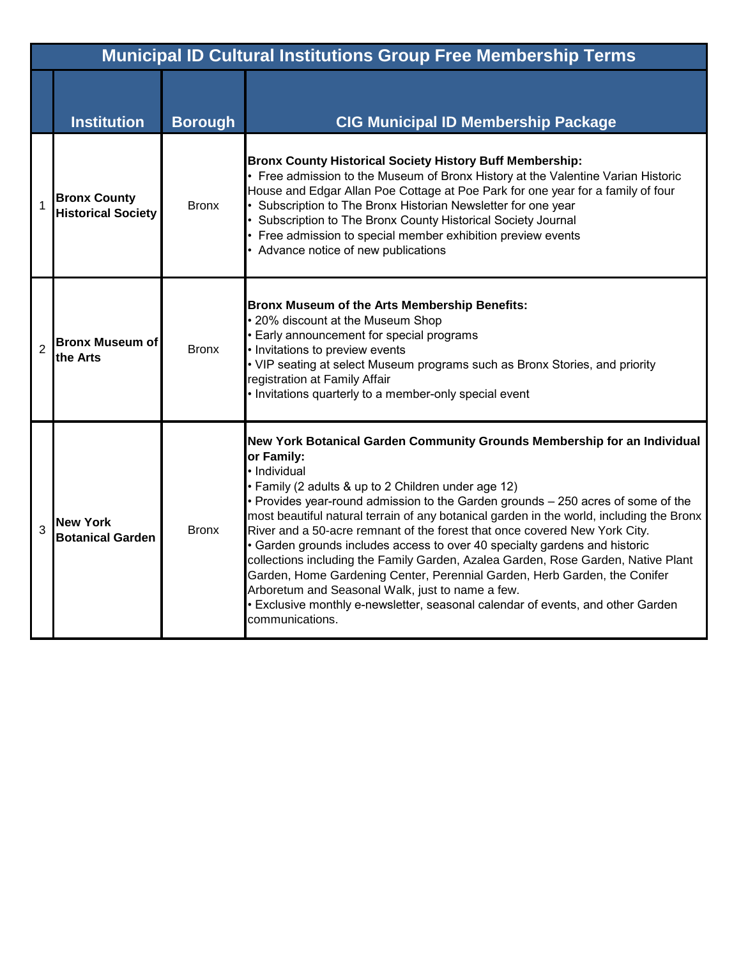|                | <b>Municipal ID Cultural Institutions Group Free Membership Terms</b> |                |                                                                                                                                                                                                                                                                                                                                                                                                                                                                                                                                                                                                                                                                                                                                                                                                                                       |  |  |
|----------------|-----------------------------------------------------------------------|----------------|---------------------------------------------------------------------------------------------------------------------------------------------------------------------------------------------------------------------------------------------------------------------------------------------------------------------------------------------------------------------------------------------------------------------------------------------------------------------------------------------------------------------------------------------------------------------------------------------------------------------------------------------------------------------------------------------------------------------------------------------------------------------------------------------------------------------------------------|--|--|
|                | <b>Institution</b>                                                    | <b>Borough</b> | <b>CIG Municipal ID Membership Package</b>                                                                                                                                                                                                                                                                                                                                                                                                                                                                                                                                                                                                                                                                                                                                                                                            |  |  |
|                | <b>Bronx County</b><br><b>Historical Society</b>                      | <b>Bronx</b>   | <b>Bronx County Historical Society History Buff Membership:</b><br>• Free admission to the Museum of Bronx History at the Valentine Varian Historic<br>House and Edgar Allan Poe Cottage at Poe Park for one year for a family of four<br>• Subscription to The Bronx Historian Newsletter for one year<br>• Subscription to The Bronx County Historical Society Journal<br>• Free admission to special member exhibition preview events<br>• Advance notice of new publications                                                                                                                                                                                                                                                                                                                                                      |  |  |
| $\overline{2}$ | <b>Bronx Museum of</b><br>the Arts                                    | <b>Bronx</b>   | Bronx Museum of the Arts Membership Benefits:<br>• 20% discount at the Museum Shop<br>• Early announcement for special programs<br>• Invitations to preview events<br>• VIP seating at select Museum programs such as Bronx Stories, and priority<br>registration at Family Affair<br>. Invitations quarterly to a member-only special event                                                                                                                                                                                                                                                                                                                                                                                                                                                                                          |  |  |
| 3              | <b>New York</b><br><b>Botanical Garden</b>                            | <b>Bronx</b>   | New York Botanical Garden Community Grounds Membership for an Individual<br>or Family:<br>· Individual<br>• Family (2 adults & up to 2 Children under age 12)<br>• Provides year-round admission to the Garden grounds - 250 acres of some of the<br>most beautiful natural terrain of any botanical garden in the world, including the Bronx<br>River and a 50-acre remnant of the forest that once covered New York City.<br>• Garden grounds includes access to over 40 specialty gardens and historic<br>collections including the Family Garden, Azalea Garden, Rose Garden, Native Plant<br>Garden, Home Gardening Center, Perennial Garden, Herb Garden, the Conifer<br>Arboretum and Seasonal Walk, just to name a few.<br>• Exclusive monthly e-newsletter, seasonal calendar of events, and other Garden<br>communications. |  |  |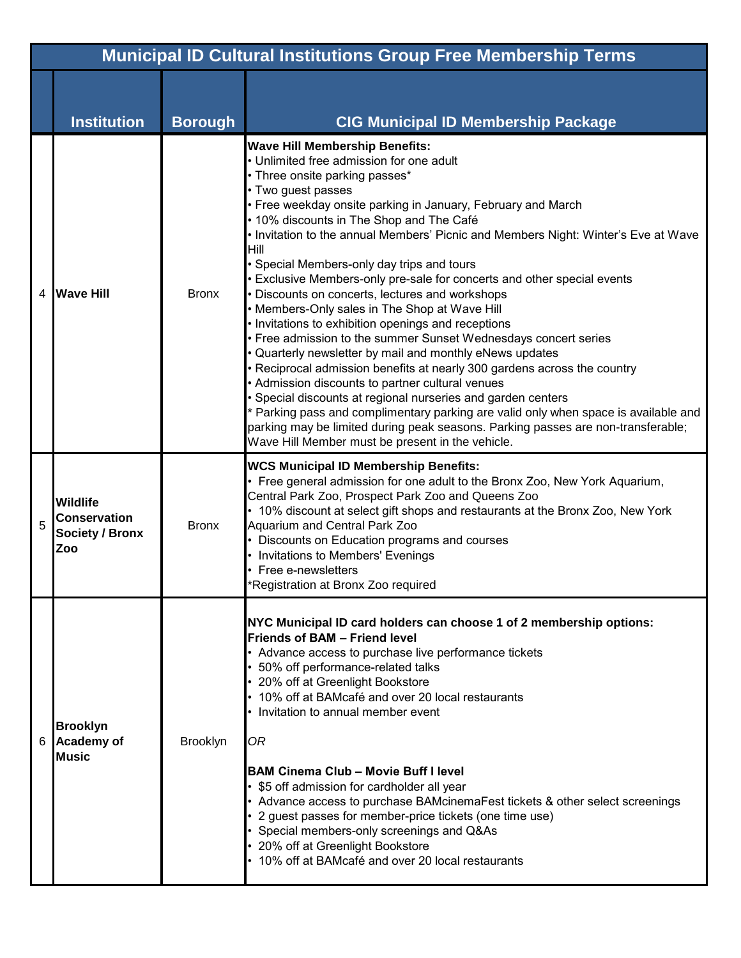|   | <b>Municipal ID Cultural Institutions Group Free Membership Terms</b>   |                 |                                                                                                                                                                                                                                                                                                                                                                                                                                                                                                                                                                                                                                                                                                                                                                                                                                                                                                                                                                                                                                                                                                                                                                                                       |  |  |
|---|-------------------------------------------------------------------------|-----------------|-------------------------------------------------------------------------------------------------------------------------------------------------------------------------------------------------------------------------------------------------------------------------------------------------------------------------------------------------------------------------------------------------------------------------------------------------------------------------------------------------------------------------------------------------------------------------------------------------------------------------------------------------------------------------------------------------------------------------------------------------------------------------------------------------------------------------------------------------------------------------------------------------------------------------------------------------------------------------------------------------------------------------------------------------------------------------------------------------------------------------------------------------------------------------------------------------------|--|--|
|   | <b>Institution</b>                                                      | <b>Borough</b>  | <b>CIG Municipal ID Membership Package</b>                                                                                                                                                                                                                                                                                                                                                                                                                                                                                                                                                                                                                                                                                                                                                                                                                                                                                                                                                                                                                                                                                                                                                            |  |  |
| 4 | <b>Wave Hill</b>                                                        | <b>Bronx</b>    | <b>Wave Hill Membership Benefits:</b><br>• Unlimited free admission for one adult<br>• Three onsite parking passes*<br>• Two guest passes<br>• Free weekday onsite parking in January, February and March<br>• 10% discounts in The Shop and The Café<br>. Invitation to the annual Members' Picnic and Members Night: Winter's Eve at Wave<br>Hill<br>• Special Members-only day trips and tours<br>• Exclusive Members-only pre-sale for concerts and other special events<br>• Discounts on concerts, lectures and workshops<br>• Members-Only sales in The Shop at Wave Hill<br>• Invitations to exhibition openings and receptions<br>• Free admission to the summer Sunset Wednesdays concert series<br>• Quarterly newsletter by mail and monthly eNews updates<br>• Reciprocal admission benefits at nearly 300 gardens across the country<br>• Admission discounts to partner cultural venues<br>• Special discounts at regional nurseries and garden centers<br>* Parking pass and complimentary parking are valid only when space is available and<br>parking may be limited during peak seasons. Parking passes are non-transferable;<br>Wave Hill Member must be present in the vehicle. |  |  |
| 5 | <b>Wildlife</b><br><b>Conservation</b><br><b>Society / Bronx</b><br>Zoo | <b>Bronx</b>    | <b>WCS Municipal ID Membership Benefits:</b><br>• Free general admission for one adult to the Bronx Zoo, New York Aquarium,<br>Central Park Zoo, Prospect Park Zoo and Queens Zoo<br>• 10% discount at select gift shops and restaurants at the Bronx Zoo, New York<br>Aquarium and Central Park Zoo<br>• Discounts on Education programs and courses<br>• Invitations to Members' Evenings<br>• Free e-newsletters<br>*Registration at Bronx Zoo required                                                                                                                                                                                                                                                                                                                                                                                                                                                                                                                                                                                                                                                                                                                                            |  |  |
| 6 | <b>Brooklyn</b><br>Academy of<br><b>Music</b>                           | <b>Brooklyn</b> | NYC Municipal ID card holders can choose 1 of 2 membership options:<br><b>Friends of BAM - Friend level</b><br>• Advance access to purchase live performance tickets<br>• 50% off performance-related talks<br>• 20% off at Greenlight Bookstore<br>• 10% off at BAMcafé and over 20 local restaurants<br>• Invitation to annual member event<br><b>OR</b><br><b>BAM Cinema Club - Movie Buff I level</b><br>• \$5 off admission for cardholder all year<br>• Advance access to purchase BAMcinemaFest tickets & other select screenings<br>• 2 guest passes for member-price tickets (one time use)<br>• Special members-only screenings and Q&As<br>• 20% off at Greenlight Bookstore<br>• 10% off at BAMcafé and over 20 local restaurants                                                                                                                                                                                                                                                                                                                                                                                                                                                         |  |  |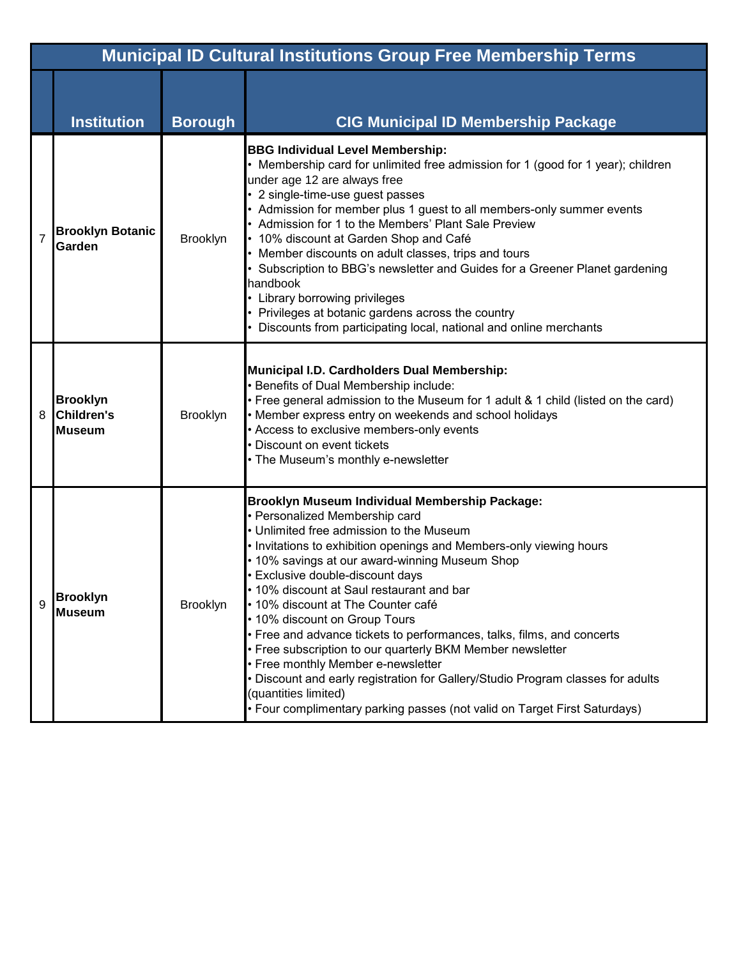|                | <b>Municipal ID Cultural Institutions Group Free Membership Terms</b> |                 |                                                                                                                                                                                                                                                                                                                                                                                                                                                                                                                                                                                                                                                                                                                                                                                     |  |  |
|----------------|-----------------------------------------------------------------------|-----------------|-------------------------------------------------------------------------------------------------------------------------------------------------------------------------------------------------------------------------------------------------------------------------------------------------------------------------------------------------------------------------------------------------------------------------------------------------------------------------------------------------------------------------------------------------------------------------------------------------------------------------------------------------------------------------------------------------------------------------------------------------------------------------------------|--|--|
|                | <b>Institution</b>                                                    | <b>Borough</b>  | <b>CIG Municipal ID Membership Package</b>                                                                                                                                                                                                                                                                                                                                                                                                                                                                                                                                                                                                                                                                                                                                          |  |  |
| $\overline{7}$ | <b>Brooklyn Botanic</b><br>Garden                                     | <b>Brooklyn</b> | <b>BBG Individual Level Membership:</b><br>• Membership card for unlimited free admission for 1 (good for 1 year); children<br>under age 12 are always free<br>• 2 single-time-use guest passes<br>• Admission for member plus 1 guest to all members-only summer events<br>• Admission for 1 to the Members' Plant Sale Preview<br>• 10% discount at Garden Shop and Café<br>• Member discounts on adult classes, trips and tours<br>• Subscription to BBG's newsletter and Guides for a Greener Planet gardening<br>handbook<br>• Library borrowing privileges<br>• Privileges at botanic gardens across the country<br>• Discounts from participating local, national and online merchants                                                                                       |  |  |
| 8              | <b>Brooklyn</b><br><b>Children's</b><br><b>Museum</b>                 | <b>Brooklyn</b> | Municipal I.D. Cardholders Dual Membership:<br>• Benefits of Dual Membership include:<br>• Free general admission to the Museum for 1 adult & 1 child (listed on the card)<br>• Member express entry on weekends and school holidays<br>• Access to exclusive members-only events<br>• Discount on event tickets<br>• The Museum's monthly e-newsletter                                                                                                                                                                                                                                                                                                                                                                                                                             |  |  |
| 9              | <b>Brooklyn</b><br><b>Museum</b>                                      | <b>Brooklyn</b> | Brooklyn Museum Individual Membership Package:<br>• Personalized Membership card<br>• Unlimited free admission to the Museum<br>. Invitations to exhibition openings and Members-only viewing hours<br>• 10% savings at our award-winning Museum Shop<br>• Exclusive double-discount days<br>. 10% discount at Saul restaurant and bar<br>• 10% discount at The Counter café<br>• 10% discount on Group Tours<br>• Free and advance tickets to performances, talks, films, and concerts<br>• Free subscription to our quarterly BKM Member newsletter<br>• Free monthly Member e-newsletter<br>. Discount and early registration for Gallery/Studio Program classes for adults<br>(quantities limited)<br>• Four complimentary parking passes (not valid on Target First Saturdays) |  |  |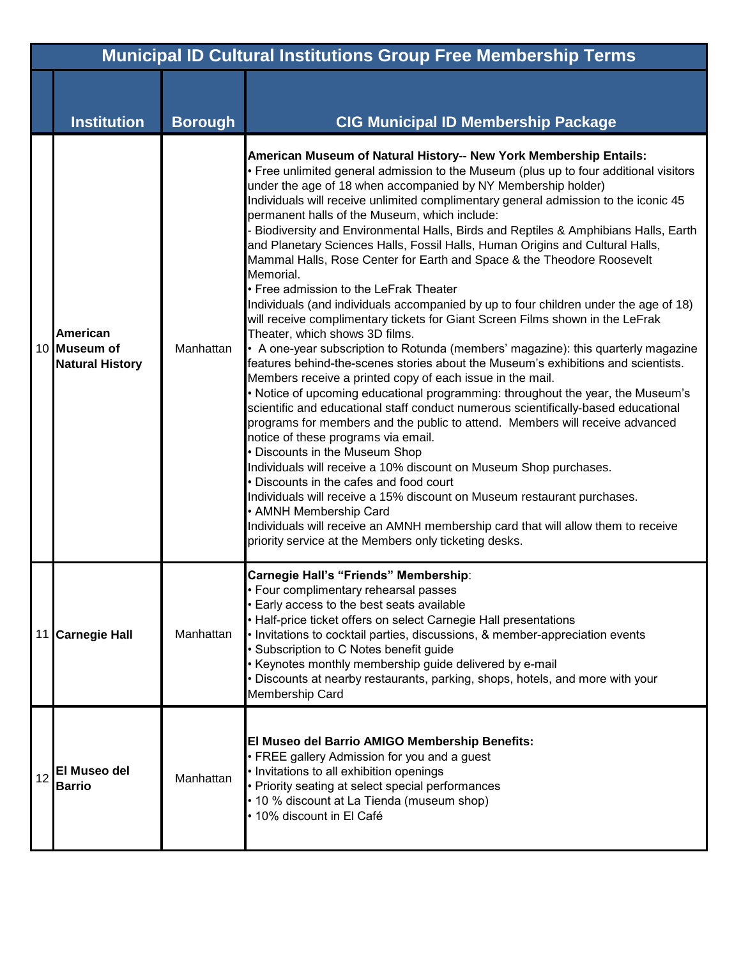|    | <b>Municipal ID Cultural Institutions Group Free Membership Terms</b> |                |                                                                                                                                                                                                                                                                                                                                                                                                                                                                                                                                                                                                                                                                                                                                                                                                                                                                                                                                                                                                                                                                                                                                                                                                                                                                                                                                                                                                                                                                                                                                                                                                                                                                                                                                                                                                                                 |  |
|----|-----------------------------------------------------------------------|----------------|---------------------------------------------------------------------------------------------------------------------------------------------------------------------------------------------------------------------------------------------------------------------------------------------------------------------------------------------------------------------------------------------------------------------------------------------------------------------------------------------------------------------------------------------------------------------------------------------------------------------------------------------------------------------------------------------------------------------------------------------------------------------------------------------------------------------------------------------------------------------------------------------------------------------------------------------------------------------------------------------------------------------------------------------------------------------------------------------------------------------------------------------------------------------------------------------------------------------------------------------------------------------------------------------------------------------------------------------------------------------------------------------------------------------------------------------------------------------------------------------------------------------------------------------------------------------------------------------------------------------------------------------------------------------------------------------------------------------------------------------------------------------------------------------------------------------------------|--|
|    | <b>Institution</b>                                                    | <b>Borough</b> | <b>CIG Municipal ID Membership Package</b>                                                                                                                                                                                                                                                                                                                                                                                                                                                                                                                                                                                                                                                                                                                                                                                                                                                                                                                                                                                                                                                                                                                                                                                                                                                                                                                                                                                                                                                                                                                                                                                                                                                                                                                                                                                      |  |
|    | <b>American</b><br>10 Museum of<br><b>Natural History</b>             | Manhattan      | American Museum of Natural History-- New York Membership Entails:<br>• Free unlimited general admission to the Museum (plus up to four additional visitors<br>under the age of 18 when accompanied by NY Membership holder)<br>Individuals will receive unlimited complimentary general admission to the iconic 45<br>permanent halls of the Museum, which include:<br>Biodiversity and Environmental Halls, Birds and Reptiles & Amphibians Halls, Earth<br>and Planetary Sciences Halls, Fossil Halls, Human Origins and Cultural Halls,<br>Mammal Halls, Rose Center for Earth and Space & the Theodore Roosevelt<br>Memorial.<br>• Free admission to the LeFrak Theater<br>Individuals (and individuals accompanied by up to four children under the age of 18)<br>will receive complimentary tickets for Giant Screen Films shown in the LeFrak<br>Theater, which shows 3D films.<br>• A one-year subscription to Rotunda (members' magazine): this quarterly magazine<br>features behind-the-scenes stories about the Museum's exhibitions and scientists.<br>Members receive a printed copy of each issue in the mail.<br>. Notice of upcoming educational programming: throughout the year, the Museum's<br>scientific and educational staff conduct numerous scientifically-based educational<br>programs for members and the public to attend. Members will receive advanced<br>notice of these programs via email.<br>• Discounts in the Museum Shop<br>Individuals will receive a 10% discount on Museum Shop purchases.<br>Discounts in the cafes and food court<br>Individuals will receive a 15% discount on Museum restaurant purchases.<br>• AMNH Membership Card<br>Individuals will receive an AMNH membership card that will allow them to receive<br>priority service at the Members only ticketing desks. |  |
|    | 11 Carnegie Hall                                                      | Manhattan      | Carnegie Hall's "Friends" Membership:<br>• Four complimentary rehearsal passes<br>Early access to the best seats available<br>• Half-price ticket offers on select Carnegie Hall presentations<br>• Invitations to cocktail parties, discussions, & member-appreciation events<br>· Subscription to C Notes benefit guide<br>Keynotes monthly membership guide delivered by e-mail<br>Discounts at nearby restaurants, parking, shops, hotels, and more with your<br>Membership Card                                                                                                                                                                                                                                                                                                                                                                                                                                                                                                                                                                                                                                                                                                                                                                                                                                                                                                                                                                                                                                                                                                                                                                                                                                                                                                                                            |  |
| 12 | <b>El Museo del</b><br><b>Barrio</b>                                  | Manhattan      | El Museo del Barrio AMIGO Membership Benefits:<br>• FREE gallery Admission for you and a guest<br>• Invitations to all exhibition openings<br>• Priority seating at select special performances<br>• 10 % discount at La Tienda (museum shop)<br>• 10% discount in El Café                                                                                                                                                                                                                                                                                                                                                                                                                                                                                                                                                                                                                                                                                                                                                                                                                                                                                                                                                                                                                                                                                                                                                                                                                                                                                                                                                                                                                                                                                                                                                      |  |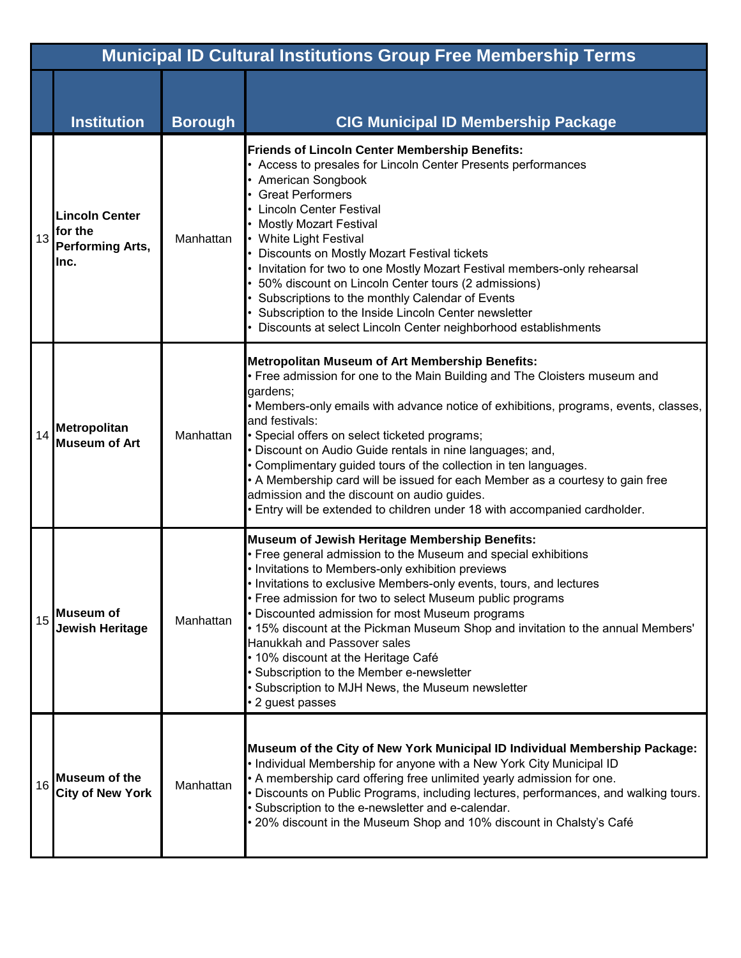|    | <b>Municipal ID Cultural Institutions Group Free Membership Terms</b> |                |                                                                                                                                                                                                                                                                                                                                                                                                                                                                                                                                                                                                                                                     |  |  |
|----|-----------------------------------------------------------------------|----------------|-----------------------------------------------------------------------------------------------------------------------------------------------------------------------------------------------------------------------------------------------------------------------------------------------------------------------------------------------------------------------------------------------------------------------------------------------------------------------------------------------------------------------------------------------------------------------------------------------------------------------------------------------------|--|--|
|    | <b>Institution</b>                                                    | <b>Borough</b> | <b>CIG Municipal ID Membership Package</b>                                                                                                                                                                                                                                                                                                                                                                                                                                                                                                                                                                                                          |  |  |
| 13 | <b>Lincoln Center</b><br>for the<br><b>Performing Arts,</b><br>Inc.   | Manhattan      | <b>Friends of Lincoln Center Membership Benefits:</b><br>• Access to presales for Lincoln Center Presents performances<br>• American Songbook<br>• Great Performers<br><b>Lincoln Center Festival</b><br>• Mostly Mozart Festival<br>• White Light Festival<br>• Discounts on Mostly Mozart Festival tickets<br>• Invitation for two to one Mostly Mozart Festival members-only rehearsal<br>• 50% discount on Lincoln Center tours (2 admissions)<br>• Subscriptions to the monthly Calendar of Events<br>• Subscription to the Inside Lincoln Center newsletter<br>Discounts at select Lincoln Center neighborhood establishments                 |  |  |
| 14 | <b>Metropolitan</b><br><b>Museum of Art</b>                           | Manhattan      | Metropolitan Museum of Art Membership Benefits:<br>• Free admission for one to the Main Building and The Cloisters museum and<br>gardens;<br>• Members-only emails with advance notice of exhibitions, programs, events, classes,<br>and festivals:<br>• Special offers on select ticketed programs;<br>• Discount on Audio Guide rentals in nine languages; and,<br>• Complimentary guided tours of the collection in ten languages.<br>• A Membership card will be issued for each Member as a courtesy to gain free<br>admission and the discount on audio guides.<br>. Entry will be extended to children under 18 with accompanied cardholder. |  |  |
| 15 | Museum of<br><b>Jewish Heritage</b>                                   | Manhattan      | Museum of Jewish Heritage Membership Benefits:<br>• Free general admission to the Museum and special exhibitions<br>. Invitations to Members-only exhibition previews<br>. Invitations to exclusive Members-only events, tours, and lectures<br>• Free admission for two to select Museum public programs<br>• Discounted admission for most Museum programs<br>• 15% discount at the Pickman Museum Shop and invitation to the annual Members'<br>Hanukkah and Passover sales<br>• 10% discount at the Heritage Café<br>• Subscription to the Member e-newsletter<br>• Subscription to MJH News, the Museum newsletter<br>• 2 guest passes         |  |  |
| 16 | <b>Museum of the</b><br><b>City of New York</b>                       | Manhattan      | Museum of the City of New York Municipal ID Individual Membership Package:<br>• Individual Membership for anyone with a New York City Municipal ID<br>• A membership card offering free unlimited yearly admission for one.<br>• Discounts on Public Programs, including lectures, performances, and walking tours.<br>· Subscription to the e-newsletter and e-calendar.<br>• 20% discount in the Museum Shop and 10% discount in Chalsty's Café                                                                                                                                                                                                   |  |  |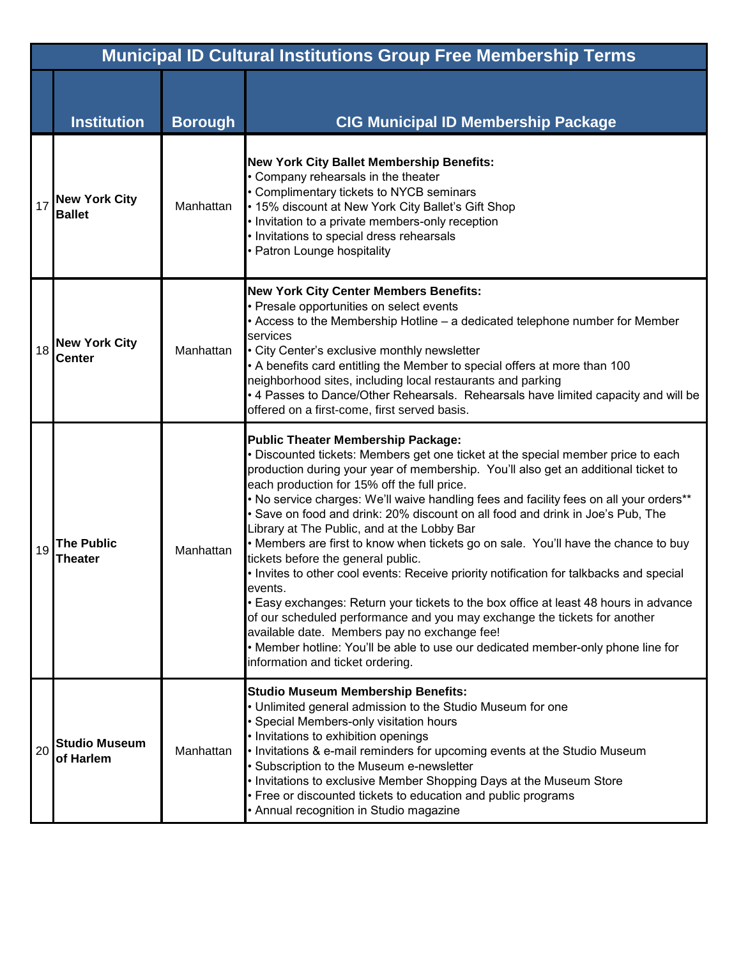|    | <b>Municipal ID Cultural Institutions Group Free Membership Terms</b> |                |                                                                                                                                                                                                                                                                                                                                                                                                                                                                                                                                                                                                                                                                                                                                                                                                                                                                                                                                                                                                                                                                              |  |  |
|----|-----------------------------------------------------------------------|----------------|------------------------------------------------------------------------------------------------------------------------------------------------------------------------------------------------------------------------------------------------------------------------------------------------------------------------------------------------------------------------------------------------------------------------------------------------------------------------------------------------------------------------------------------------------------------------------------------------------------------------------------------------------------------------------------------------------------------------------------------------------------------------------------------------------------------------------------------------------------------------------------------------------------------------------------------------------------------------------------------------------------------------------------------------------------------------------|--|--|
|    | <b>Institution</b>                                                    | <b>Borough</b> | <b>CIG Municipal ID Membership Package</b>                                                                                                                                                                                                                                                                                                                                                                                                                                                                                                                                                                                                                                                                                                                                                                                                                                                                                                                                                                                                                                   |  |  |
| 17 | <b>New York City</b><br><b>Ballet</b>                                 | Manhattan      | <b>New York City Ballet Membership Benefits:</b><br>• Company rehearsals in the theater<br>• Complimentary tickets to NYCB seminars<br>. 15% discount at New York City Ballet's Gift Shop<br>• Invitation to a private members-only reception<br>• Invitations to special dress rehearsals<br>• Patron Lounge hospitality                                                                                                                                                                                                                                                                                                                                                                                                                                                                                                                                                                                                                                                                                                                                                    |  |  |
| 18 | <b>New York City</b><br><b>Center</b>                                 | Manhattan      | <b>New York City Center Members Benefits:</b><br>• Presale opportunities on select events<br>• Access to the Membership Hotline - a dedicated telephone number for Member<br>services<br>• City Center's exclusive monthly newsletter<br>• A benefits card entitling the Member to special offers at more than 100<br>neighborhood sites, including local restaurants and parking<br>• 4 Passes to Dance/Other Rehearsals. Rehearsals have limited capacity and will be<br>offered on a first-come, first served basis.                                                                                                                                                                                                                                                                                                                                                                                                                                                                                                                                                      |  |  |
| 19 | <b>The Public</b><br>Theater                                          | Manhattan      | <b>Public Theater Membership Package:</b><br>• Discounted tickets: Members get one ticket at the special member price to each<br>production during your year of membership. You'll also get an additional ticket to<br>each production for 15% off the full price.<br>. No service charges: We'll waive handling fees and facility fees on all your orders**<br>• Save on food and drink: 20% discount on all food and drink in Joe's Pub, The<br>Library at The Public, and at the Lobby Bar<br>• Members are first to know when tickets go on sale. You'll have the chance to buy<br>tickets before the general public.<br>• Invites to other cool events: Receive priority notification for talkbacks and special<br>events.<br>• Easy exchanges: Return your tickets to the box office at least 48 hours in advance<br>of our scheduled performance and you may exchange the tickets for another<br>available date. Members pay no exchange fee!<br>• Member hotline: You'll be able to use our dedicated member-only phone line for<br>information and ticket ordering. |  |  |
| 20 | <b>Studio Museum</b><br>of Harlem                                     | Manhattan      | <b>Studio Museum Membership Benefits:</b><br>• Unlimited general admission to the Studio Museum for one<br>• Special Members-only visitation hours<br>• Invitations to exhibition openings<br>. Invitations & e-mail reminders for upcoming events at the Studio Museum<br>• Subscription to the Museum e-newsletter<br>. Invitations to exclusive Member Shopping Days at the Museum Store<br>• Free or discounted tickets to education and public programs<br>• Annual recognition in Studio magazine                                                                                                                                                                                                                                                                                                                                                                                                                                                                                                                                                                      |  |  |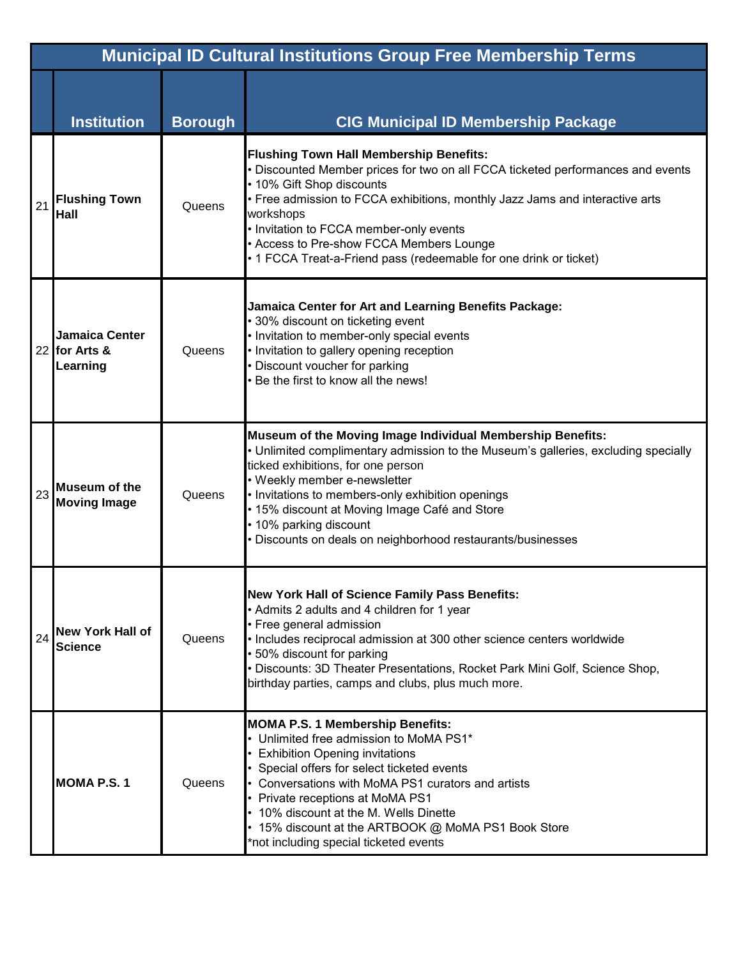|    | <b>Municipal ID Cultural Institutions Group Free Membership Terms</b> |                |                                                                                                                                                                                                                                                                                                                                                                                                                         |  |  |
|----|-----------------------------------------------------------------------|----------------|-------------------------------------------------------------------------------------------------------------------------------------------------------------------------------------------------------------------------------------------------------------------------------------------------------------------------------------------------------------------------------------------------------------------------|--|--|
|    | <b>Institution</b>                                                    | <b>Borough</b> | <b>CIG Municipal ID Membership Package</b>                                                                                                                                                                                                                                                                                                                                                                              |  |  |
| 21 | <b>Flushing Town</b><br><b>Hall</b>                                   | Queens         | <b>Flushing Town Hall Membership Benefits:</b><br>• Discounted Member prices for two on all FCCA ticketed performances and events<br>• 10% Gift Shop discounts<br>• Free admission to FCCA exhibitions, monthly Jazz Jams and interactive arts<br>workshops<br>• Invitation to FCCA member-only events<br>• Access to Pre-show FCCA Members Lounge<br>• 1 FCCA Treat-a-Friend pass (redeemable for one drink or ticket) |  |  |
|    | <b>Jamaica Center</b><br>22 for Arts &<br>Learning                    | Queens         | Jamaica Center for Art and Learning Benefits Package:<br>• 30% discount on ticketing event<br>• Invitation to member-only special events<br>• Invitation to gallery opening reception<br>Discount voucher for parking<br>Be the first to know all the news!                                                                                                                                                             |  |  |
| 23 | <b>Museum of the</b><br><b>Moving Image</b>                           | Queens         | Museum of the Moving Image Individual Membership Benefits:<br>• Unlimited complimentary admission to the Museum's galleries, excluding specially<br>ticked exhibitions, for one person<br>• Weekly member e-newsletter<br>• Invitations to members-only exhibition openings<br>• 15% discount at Moving Image Café and Store<br>• 10% parking discount<br>• Discounts on deals on neighborhood restaurants/businesses   |  |  |
| 24 | <b>New York Hall of</b><br><b>Science</b>                             | Queens         | <b>New York Hall of Science Family Pass Benefits:</b><br>• Admits 2 adults and 4 children for 1 year<br>• Free general admission<br>• Includes reciprocal admission at 300 other science centers worldwide<br>• 50% discount for parking<br>· Discounts: 3D Theater Presentations, Rocket Park Mini Golf, Science Shop,<br>birthday parties, camps and clubs, plus much more.                                           |  |  |
|    | <b>MOMA P.S.1</b>                                                     | Queens         | <b>MOMA P.S. 1 Membership Benefits:</b><br>• Unlimited free admission to MoMA PS1*<br>• Exhibition Opening invitations<br>• Special offers for select ticketed events<br>• Conversations with MoMA PS1 curators and artists<br>• Private receptions at MoMA PS1<br>• 10% discount at the M. Wells Dinette<br>• 15% discount at the ARTBOOK @ MoMA PS1 Book Store<br>*not including special ticketed events              |  |  |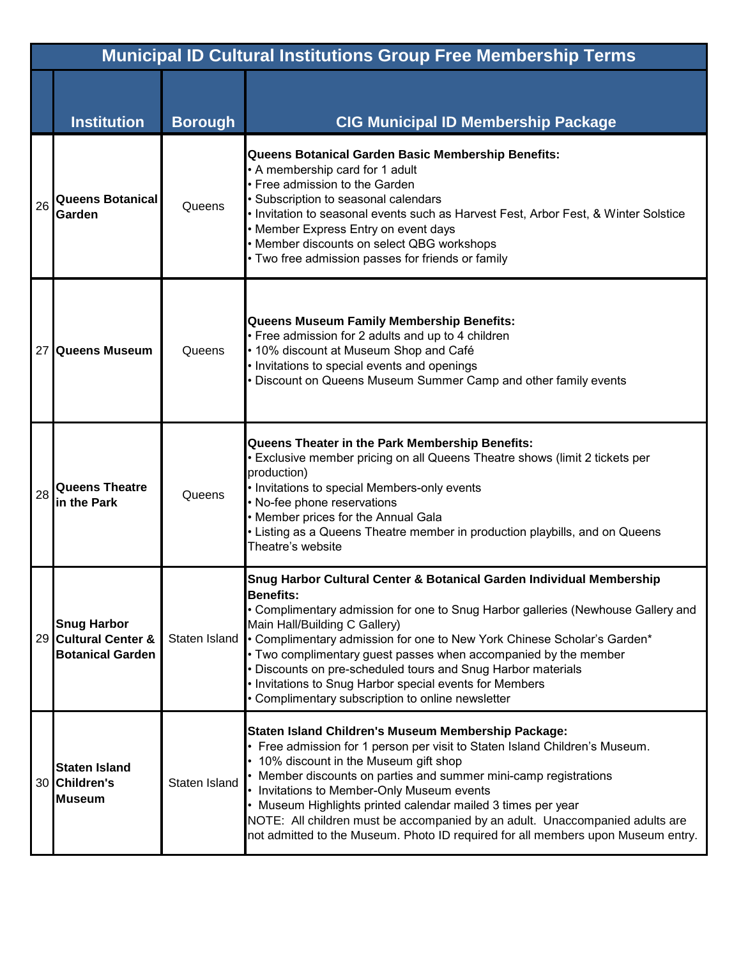|    | <b>Municipal ID Cultural Institutions Group Free Membership Terms</b> |                      |                                                                                                                                                                                                                                                                                                                                                                                                                                                                                                                                             |  |  |
|----|-----------------------------------------------------------------------|----------------------|---------------------------------------------------------------------------------------------------------------------------------------------------------------------------------------------------------------------------------------------------------------------------------------------------------------------------------------------------------------------------------------------------------------------------------------------------------------------------------------------------------------------------------------------|--|--|
|    | <b>Institution</b>                                                    | <b>Borough</b>       | <b>CIG Municipal ID Membership Package</b>                                                                                                                                                                                                                                                                                                                                                                                                                                                                                                  |  |  |
| 26 | <b>Queens Botanical</b><br>Garden                                     | Queens               | <b>Queens Botanical Garden Basic Membership Benefits:</b><br>• A membership card for 1 adult<br>• Free admission to the Garden<br>• Subscription to seasonal calendars<br>. Invitation to seasonal events such as Harvest Fest, Arbor Fest, & Winter Solstice<br>• Member Express Entry on event days<br>• Member discounts on select QBG workshops<br>• Two free admission passes for friends or family                                                                                                                                    |  |  |
|    | 27 Queens Museum                                                      | Queens               | <b>Queens Museum Family Membership Benefits:</b><br>• Free admission for 2 adults and up to 4 children<br>• 10% discount at Museum Shop and Café<br>• Invitations to special events and openings<br>• Discount on Queens Museum Summer Camp and other family events                                                                                                                                                                                                                                                                         |  |  |
| 28 | <b>Queens Theatre</b><br>in the Park                                  | Queens               | Queens Theater in the Park Membership Benefits:<br>• Exclusive member pricing on all Queens Theatre shows (limit 2 tickets per<br>production)<br>• Invitations to special Members-only events<br>• No-fee phone reservations<br>• Member prices for the Annual Gala<br>• Listing as a Queens Theatre member in production playbills, and on Queens<br>Theatre's website                                                                                                                                                                     |  |  |
|    | <b>Snug Harbor</b><br>29 Cultural Center &<br><b>Botanical Garden</b> | <b>Staten Island</b> | Snug Harbor Cultural Center & Botanical Garden Individual Membership<br><b>Benefits:</b><br>• Complimentary admission for one to Snug Harbor galleries (Newhouse Gallery and<br>Main Hall/Building C Gallery)<br>• Complimentary admission for one to New York Chinese Scholar's Garden*<br>• Two complimentary guest passes when accompanied by the member<br>• Discounts on pre-scheduled tours and Snug Harbor materials<br>• Invitations to Snug Harbor special events for Members<br>• Complimentary subscription to online newsletter |  |  |
|    | <b>Staten Island</b><br>30 Children's<br><b>Museum</b>                | <b>Staten Island</b> | Staten Island Children's Museum Membership Package:<br>• Free admission for 1 person per visit to Staten Island Children's Museum.<br>• 10% discount in the Museum gift shop<br>• Member discounts on parties and summer mini-camp registrations<br>• Invitations to Member-Only Museum events<br>• Museum Highlights printed calendar mailed 3 times per year<br>NOTE: All children must be accompanied by an adult. Unaccompanied adults are<br>not admitted to the Museum. Photo ID required for all members upon Museum entry.          |  |  |